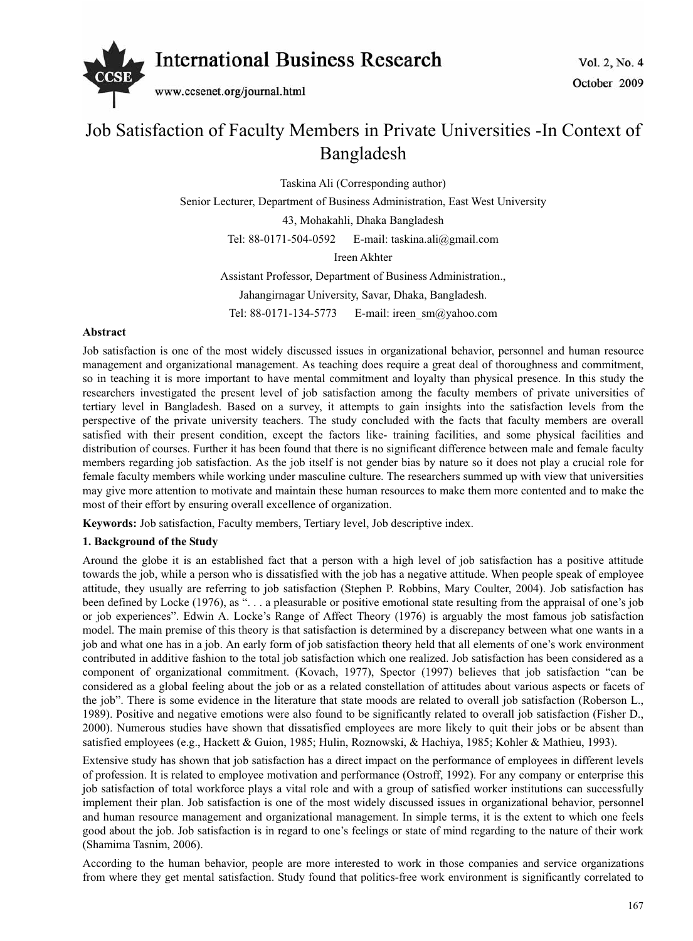

# Job Satisfaction of Faculty Members in Private Universities -In Context of Bangladesh

Taskina Ali (Corresponding author)

Senior Lecturer, Department of Business Administration, East West University

43, Mohakahli, Dhaka Bangladesh

Tel: 88-0171-504-0592 E-mail: taskina.ali@gmail.com

Ireen Akhter

Assistant Professor, Department of Business Administration., Jahangirnagar University, Savar, Dhaka, Bangladesh.

Tel: 88-0171-134-5773 E-mail: ireen\_sm@yahoo.com

#### **Abstract**

Job satisfaction is one of the most widely discussed issues in organizational behavior, personnel and human resource management and organizational management. As teaching does require a great deal of thoroughness and commitment, so in teaching it is more important to have mental commitment and loyalty than physical presence. In this study the researchers investigated the present level of job satisfaction among the faculty members of private universities of tertiary level in Bangladesh. Based on a survey, it attempts to gain insights into the satisfaction levels from the perspective of the private university teachers. The study concluded with the facts that faculty members are overall satisfied with their present condition, except the factors like- training facilities, and some physical facilities and distribution of courses. Further it has been found that there is no significant difference between male and female faculty members regarding job satisfaction. As the job itself is not gender bias by nature so it does not play a crucial role for female faculty members while working under masculine culture. The researchers summed up with view that universities may give more attention to motivate and maintain these human resources to make them more contented and to make the most of their effort by ensuring overall excellence of organization.

**Keywords:** Job satisfaction, Faculty members, Tertiary level, Job descriptive index.

#### **1. Background of the Study**

Around the globe it is an established fact that a person with a high level of job satisfaction has a positive attitude towards the job, while a person who is dissatisfied with the job has a negative attitude. When people speak of employee attitude, they usually are referring to job satisfaction (Stephen P. Robbins, Mary Coulter, 2004). Job satisfaction has been defined by Locke (1976), as ". . . a pleasurable or positive emotional state resulting from the appraisal of one's job or job experiences". Edwin A. Locke's Range of Affect Theory (1976) is arguably the most famous job satisfaction model. The main premise of this theory is that satisfaction is determined by a discrepancy between what one wants in a job and what one has in a job. An early form of job satisfaction theory held that all elements of one's work environment contributed in additive fashion to the total job satisfaction which one realized. Job satisfaction has been considered as a component of organizational commitment. (Kovach, 1977), Spector (1997) believes that job satisfaction "can be considered as a global feeling about the job or as a related constellation of attitudes about various aspects or facets of the job". There is some evidence in the literature that state moods are related to overall job satisfaction (Roberson L., 1989). Positive and negative emotions were also found to be significantly related to overall job satisfaction (Fisher D., 2000). Numerous studies have shown that dissatisfied employees are more likely to quit their jobs or be absent than satisfied employees (e.g., Hackett & Guion, 1985; Hulin, Roznowski, & Hachiya, 1985; Kohler & Mathieu, 1993).

Extensive study has shown that job satisfaction has a direct impact on the performance of employees in different levels of profession. It is related to employee motivation and performance (Ostroff, 1992). For any company or enterprise this job satisfaction of total workforce plays a vital role and with a group of satisfied worker institutions can successfully implement their plan. Job satisfaction is one of the most widely discussed issues in organizational behavior, personnel and human resource management and organizational management. In simple terms, it is the extent to which one feels good about the job. Job satisfaction is in regard to one's feelings or state of mind regarding to the nature of their work (Shamima Tasnim, 2006).

According to the human behavior, people are more interested to work in those companies and service organizations from where they get mental satisfaction. Study found that politics-free work environment is significantly correlated to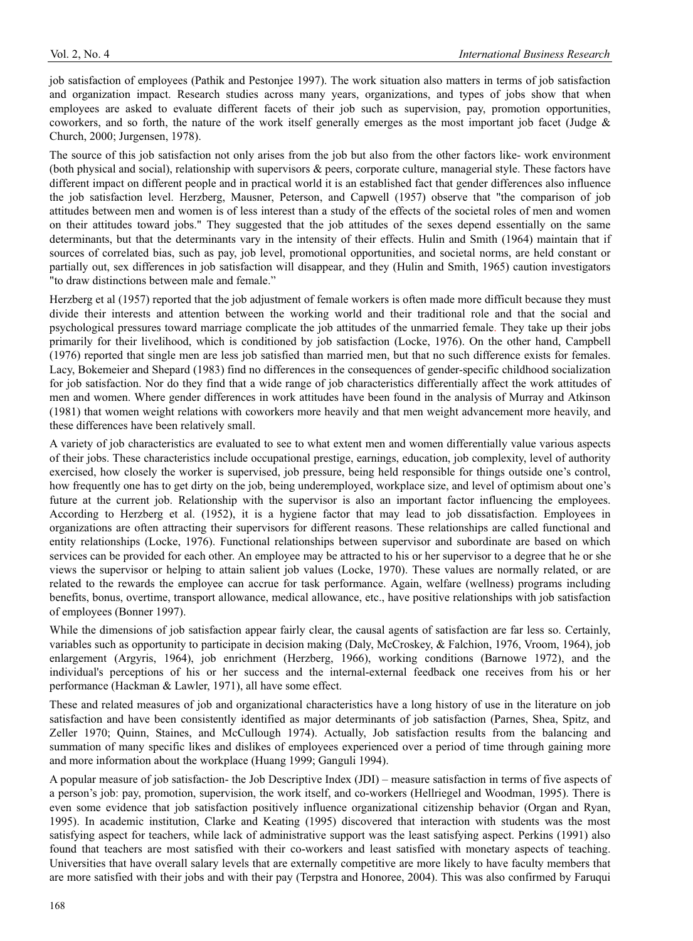job satisfaction of employees (Pathik and Pestonjee 1997). The work situation also matters in terms of job satisfaction and organization impact. Research studies across many years, organizations, and types of jobs show that when employees are asked to evaluate different facets of their job such as supervision, pay, promotion opportunities, coworkers, and so forth, the nature of the work itself generally emerges as the most important job facet (Judge  $\&$ Church, 2000; Jurgensen, 1978).

The source of this job satisfaction not only arises from the job but also from the other factors like- work environment (both physical and social), relationship with supervisors & peers, corporate culture, managerial style. These factors have different impact on different people and in practical world it is an established fact that gender differences also influence the job satisfaction level. Herzberg, Mausner, Peterson, and Capwell (1957) observe that "the comparison of job attitudes between men and women is of less interest than a study of the effects of the societal roles of men and women on their attitudes toward jobs." They suggested that the job attitudes of the sexes depend essentially on the same determinants, but that the determinants vary in the intensity of their effects. Hulin and Smith (1964) maintain that if sources of correlated bias, such as pay, job level, promotional opportunities, and societal norms, are held constant or partially out, sex differences in job satisfaction will disappear, and they (Hulin and Smith, 1965) caution investigators "to draw distinctions between male and female."

Herzberg et al (1957) reported that the job adjustment of female workers is often made more difficult because they must divide their interests and attention between the working world and their traditional role and that the social and psychological pressures toward marriage complicate the job attitudes of the unmarried female. They take up their jobs primarily for their livelihood, which is conditioned by job satisfaction (Locke, 1976). On the other hand, Campbell (1976) reported that single men are less job satisfied than married men, but that no such difference exists for females. Lacy, Bokemeier and Shepard (1983) find no differences in the consequences of gender-specific childhood socialization for job satisfaction. Nor do they find that a wide range of job characteristics differentially affect the work attitudes of men and women. Where gender differences in work attitudes have been found in the analysis of Murray and Atkinson (1981) that women weight relations with coworkers more heavily and that men weight advancement more heavily, and these differences have been relatively small.

A variety of job characteristics are evaluated to see to what extent men and women differentially value various aspects of their jobs. These characteristics include occupational prestige, earnings, education, job complexity, level of authority exercised, how closely the worker is supervised, job pressure, being held responsible for things outside one's control, how frequently one has to get dirty on the job, being underemployed, workplace size, and level of optimism about one's future at the current job. Relationship with the supervisor is also an important factor influencing the employees. According to Herzberg et al. (1952), it is a hygiene factor that may lead to job dissatisfaction. Employees in organizations are often attracting their supervisors for different reasons. These relationships are called functional and entity relationships (Locke, 1976). Functional relationships between supervisor and subordinate are based on which services can be provided for each other. An employee may be attracted to his or her supervisor to a degree that he or she views the supervisor or helping to attain salient job values (Locke, 1970). These values are normally related, or are related to the rewards the employee can accrue for task performance. Again, welfare (wellness) programs including benefits, bonus, overtime, transport allowance, medical allowance, etc., have positive relationships with job satisfaction of employees (Bonner 1997).

While the dimensions of job satisfaction appear fairly clear, the causal agents of satisfaction are far less so. Certainly, variables such as opportunity to participate in decision making (Daly, McCroskey, & Falchion, 1976, Vroom, 1964), job enlargement (Argyris, 1964), job enrichment (Herzberg, 1966), working conditions (Barnowe 1972), and the individual's perceptions of his or her success and the internal-external feedback one receives from his or her performance (Hackman & Lawler, 1971), all have some effect.

These and related measures of job and organizational characteristics have a long history of use in the literature on job satisfaction and have been consistently identified as major determinants of job satisfaction (Parnes, Shea, Spitz, and Zeller 1970; Quinn, Staines, and McCullough 1974). Actually, Job satisfaction results from the balancing and summation of many specific likes and dislikes of employees experienced over a period of time through gaining more and more information about the workplace (Huang 1999; Ganguli 1994).

A popular measure of job satisfaction- the Job Descriptive Index (JDI) – measure satisfaction in terms of five aspects of a person's job: pay, promotion, supervision, the work itself, and co-workers (Hellriegel and Woodman, 1995). There is even some evidence that job satisfaction positively influence organizational citizenship behavior (Organ and Ryan, 1995). In academic institution, Clarke and Keating (1995) discovered that interaction with students was the most satisfying aspect for teachers, while lack of administrative support was the least satisfying aspect. Perkins (1991) also found that teachers are most satisfied with their co-workers and least satisfied with monetary aspects of teaching. Universities that have overall salary levels that are externally competitive are more likely to have faculty members that are more satisfied with their jobs and with their pay (Terpstra and Honoree, 2004). This was also confirmed by Faruqui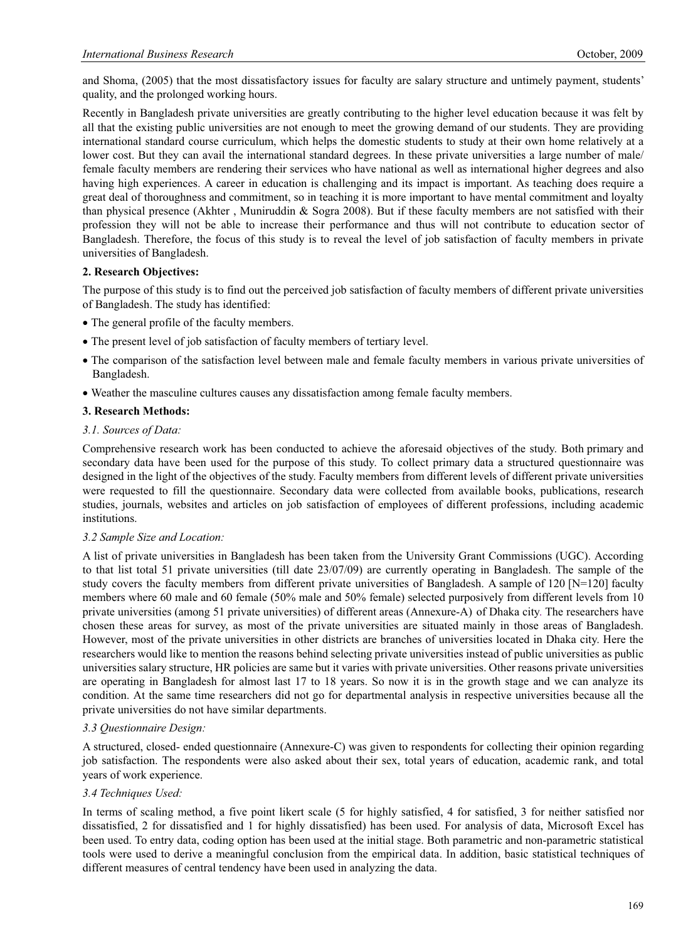and Shoma, (2005) that the most dissatisfactory issues for faculty are salary structure and untimely payment, students' quality, and the prolonged working hours.

Recently in Bangladesh private universities are greatly contributing to the higher level education because it was felt by all that the existing public universities are not enough to meet the growing demand of our students. They are providing international standard course curriculum, which helps the domestic students to study at their own home relatively at a lower cost. But they can avail the international standard degrees. In these private universities a large number of male/ female faculty members are rendering their services who have national as well as international higher degrees and also having high experiences. A career in education is challenging and its impact is important. As teaching does require a great deal of thoroughness and commitment, so in teaching it is more important to have mental commitment and loyalty than physical presence (Akhter , Muniruddin & Sogra 2008). But if these faculty members are not satisfied with their profession they will not be able to increase their performance and thus will not contribute to education sector of Bangladesh. Therefore, the focus of this study is to reveal the level of job satisfaction of faculty members in private universities of Bangladesh.

#### **2. Research Objectives:**

The purpose of this study is to find out the perceived job satisfaction of faculty members of different private universities of Bangladesh. The study has identified:

- The general profile of the faculty members.
- The present level of job satisfaction of faculty members of tertiary level.
- The comparison of the satisfaction level between male and female faculty members in various private universities of Bangladesh.
- x Weather the masculine cultures causes any dissatisfaction among female faculty members.

#### **3. Research Methods:**

#### *3.1. Sources of Data:*

Comprehensive research work has been conducted to achieve the aforesaid objectives of the study. Both primary and secondary data have been used for the purpose of this study. To collect primary data a structured questionnaire was designed in the light of the objectives of the study. Faculty members from different levels of different private universities were requested to fill the questionnaire. Secondary data were collected from available books, publications, research studies, journals, websites and articles on job satisfaction of employees of different professions, including academic institutions.

## *3.2 Sample Size and Location:*

A list of private universities in Bangladesh has been taken from the University Grant Commissions (UGC). According to that list total 51 private universities (till date 23/07/09) are currently operating in Bangladesh. The sample of the study covers the faculty members from different private universities of Bangladesh. A sample of 120 [N=120] faculty members where 60 male and 60 female (50% male and 50% female) selected purposively from different levels from 10 private universities (among 51 private universities) of different areas (Annexure-A) of Dhaka city. The researchers have chosen these areas for survey, as most of the private universities are situated mainly in those areas of Bangladesh. However, most of the private universities in other districts are branches of universities located in Dhaka city. Here the researchers would like to mention the reasons behind selecting private universities instead of public universities as public universities salary structure, HR policies are same but it varies with private universities. Other reasons private universities are operating in Bangladesh for almost last 17 to 18 years. So now it is in the growth stage and we can analyze its condition. At the same time researchers did not go for departmental analysis in respective universities because all the private universities do not have similar departments.

## *3.3 Questionnaire Design:*

A structured, closed- ended questionnaire (Annexure-C) was given to respondents for collecting their opinion regarding job satisfaction. The respondents were also asked about their sex, total years of education, academic rank, and total years of work experience.

## *3.4 Techniques Used:*

In terms of scaling method, a five point likert scale (5 for highly satisfied, 4 for satisfied, 3 for neither satisfied nor dissatisfied, 2 for dissatisfied and 1 for highly dissatisfied) has been used. For analysis of data, Microsoft Excel has been used. To entry data, coding option has been used at the initial stage. Both parametric and non-parametric statistical tools were used to derive a meaningful conclusion from the empirical data. In addition, basic statistical techniques of different measures of central tendency have been used in analyzing the data.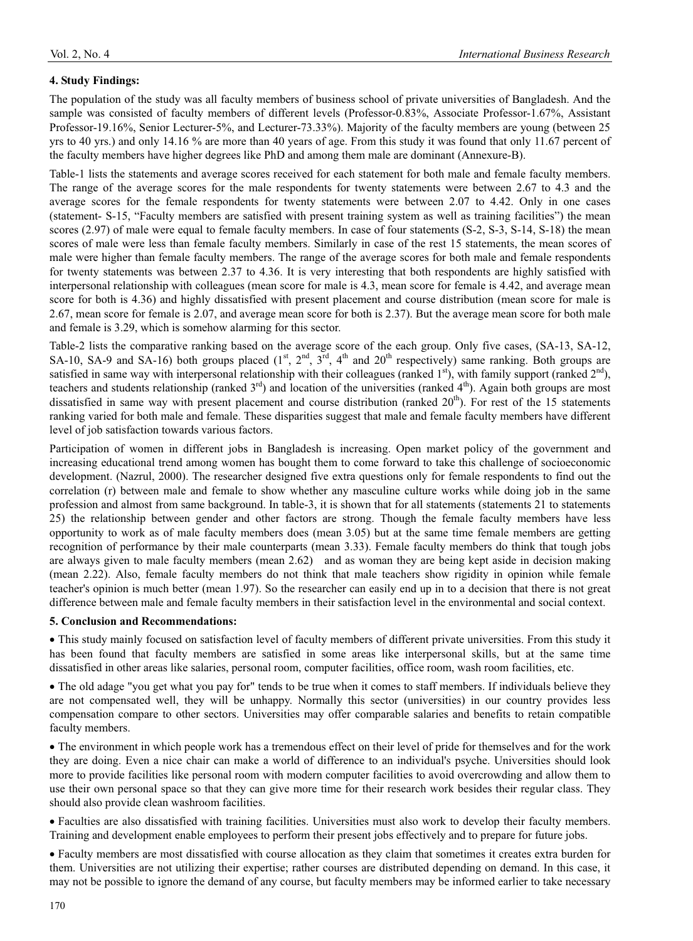## **4. Study Findings:**

The population of the study was all faculty members of business school of private universities of Bangladesh. And the sample was consisted of faculty members of different levels (Professor-0.83%, Associate Professor-1.67%, Assistant Professor-19.16%, Senior Lecturer-5%, and Lecturer-73.33%). Majority of the faculty members are young (between 25 yrs to 40 yrs.) and only 14.16 % are more than 40 years of age. From this study it was found that only 11.67 percent of the faculty members have higher degrees like PhD and among them male are dominant (Annexure-B).

Table-1 lists the statements and average scores received for each statement for both male and female faculty members. The range of the average scores for the male respondents for twenty statements were between 2.67 to 4.3 and the average scores for the female respondents for twenty statements were between 2.07 to 4.42. Only in one cases (statement- S-15, "Faculty members are satisfied with present training system as well as training facilities") the mean scores (2.97) of male were equal to female faculty members. In case of four statements (S-2, S-3, S-14, S-18) the mean scores of male were less than female faculty members. Similarly in case of the rest 15 statements, the mean scores of male were higher than female faculty members. The range of the average scores for both male and female respondents for twenty statements was between 2.37 to 4.36. It is very interesting that both respondents are highly satisfied with interpersonal relationship with colleagues (mean score for male is 4.3, mean score for female is 4.42, and average mean score for both is 4.36) and highly dissatisfied with present placement and course distribution (mean score for male is 2.67, mean score for female is 2.07, and average mean score for both is 2.37). But the average mean score for both male and female is 3.29, which is somehow alarming for this sector.

Table-2 lists the comparative ranking based on the average score of the each group. Only five cases, (SA-13, SA-12, SA-10, SA-9 and SA-16) both groups placed  $(1^{st}, 2^{nd}, 3^{rd}, 4^{th}$  and  $20^{th}$  respectively) same ranking. Both groups are satisfied in same way with interpersonal relationship with their colleagues (ranked  $1<sup>st</sup>$ ), with family support (ranked  $2<sup>nd</sup>$ ), teachers and students relationship (ranked  $3^{rd}$ ) and location of the universities (ranked  $4^{th}$ ). Again both groups are most dissatisfied in same way with present placement and course distribution (ranked  $20<sup>th</sup>$ ). For rest of the 15 statements ranking varied for both male and female. These disparities suggest that male and female faculty members have different level of job satisfaction towards various factors.

Participation of women in different jobs in Bangladesh is increasing. Open market policy of the government and increasing educational trend among women has bought them to come forward to take this challenge of socioeconomic development. (Nazrul, 2000). The researcher designed five extra questions only for female respondents to find out the correlation (r) between male and female to show whether any masculine culture works while doing job in the same profession and almost from same background. In table-3, it is shown that for all statements (statements 21 to statements 25) the relationship between gender and other factors are strong. Though the female faculty members have less opportunity to work as of male faculty members does (mean 3.05) but at the same time female members are getting recognition of performance by their male counterparts (mean 3.33). Female faculty members do think that tough jobs are always given to male faculty members (mean 2.62) and as woman they are being kept aside in decision making (mean 2.22). Also, female faculty members do not think that male teachers show rigidity in opinion while female teacher's opinion is much better (mean 1.97). So the researcher can easily end up in to a decision that there is not great difference between male and female faculty members in their satisfaction level in the environmental and social context.

#### **5. Conclusion and Recommendations:**

• This study mainly focused on satisfaction level of faculty members of different private universities. From this study it has been found that faculty members are satisfied in some areas like interpersonal skills, but at the same time dissatisfied in other areas like salaries, personal room, computer facilities, office room, wash room facilities, etc.

• The old adage "you get what you pay for" tends to be true when it comes to staff members. If individuals believe they are not compensated well, they will be unhappy. Normally this sector (universities) in our country provides less compensation compare to other sectors. Universities may offer comparable salaries and benefits to retain compatible faculty members.

• The environment in which people work has a tremendous effect on their level of pride for themselves and for the work they are doing. Even a nice chair can make a world of difference to an individual's psyche. Universities should look more to provide facilities like personal room with modern computer facilities to avoid overcrowding and allow them to use their own personal space so that they can give more time for their research work besides their regular class. They should also provide clean washroom facilities.

x Faculties are also dissatisfied with training facilities. Universities must also work to develop their faculty members. Training and development enable employees to perform their present jobs effectively and to prepare for future jobs.

x Faculty members are most dissatisfied with course allocation as they claim that sometimes it creates extra burden for them. Universities are not utilizing their expertise; rather courses are distributed depending on demand. In this case, it may not be possible to ignore the demand of any course, but faculty members may be informed earlier to take necessary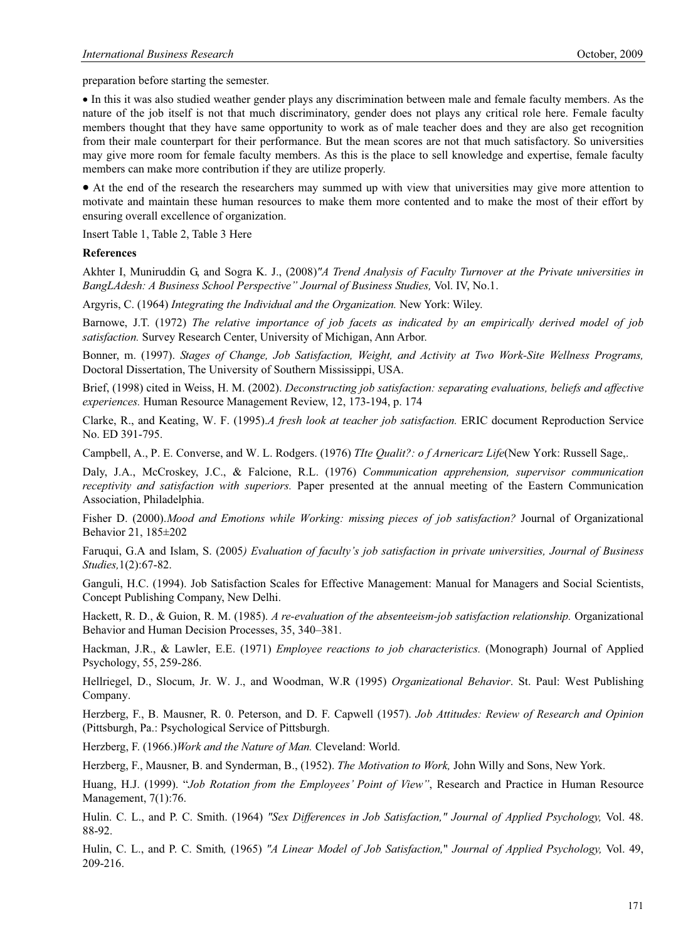preparation before starting the semester.

x In this it was also studied weather gender plays any discrimination between male and female faculty members. As the nature of the job itself is not that much discriminatory, gender does not plays any critical role here. Female faculty members thought that they have same opportunity to work as of male teacher does and they are also get recognition from their male counterpart for their performance. But the mean scores are not that much satisfactory. So universities may give more room for female faculty members. As this is the place to sell knowledge and expertise, female faculty members can make more contribution if they are utilize properly.

• At the end of the research the researchers may summed up with view that universities may give more attention to motivate and maintain these human resources to make them more contented and to make the most of their effort by ensuring overall excellence of organization.

Insert Table 1, Table 2, Table 3 Here

#### **References**

Akhter I, Muniruddin G, and Sogra K. J., (2008)*"A Trend Analysis of Faculty Turnover at the Private universities in BangLAdesh: A Business School Perspective" Journal of Business Studies,* Vol. IV, No.1.

Argyris, C. (1964) *Integrating the Individual and the Organization.* New York: Wiley.

Barnowe, J.T. (1972) *The relative importance of job facets as indicated by an empirically derived model of job satisfaction.* Survey Research Center, University of Michigan, Ann Arbor.

Bonner, m. (1997). *Stages of Change, Job Satisfaction, Weight, and Activity at Two Work-Site Wellness Programs,* Doctoral Dissertation, The University of Southern Mississippi, USA.

Brief, (1998) cited in Weiss, H. M. (2002). *Deconstructing job satisfaction: separating evaluations, beliefs and affective experiences.* Human Resource Management Review, 12, 173-194, p. 174

Clarke, R., and Keating, W. F. (1995).*A fresh look at teacher job satisfaction.* ERIC document Reproduction Service No. ED 391-795.

Campbell, A., P. E. Converse, and W. L. Rodgers. (1976) *TIte Qualit?: o f Arnericarz Life*(New York: Russell Sage,.

Daly, J.A., McCroskey, J.C., & Falcione, R.L. (1976) *Communication apprehension, supervisor communication receptivity and satisfaction with superiors.* Paper presented at the annual meeting of the Eastern Communication Association, Philadelphia.

Fisher D. (2000).*Mood and Emotions while Working: missing pieces of job satisfaction?* Journal of Organizational Behavior 21, 185±202

Faruqui, G.A and Islam, S. (2005*) Evaluation of faculty's job satisfaction in private universities, Journal of Business Studies,*1(2):67-82.

Ganguli, H.C. (1994). Job Satisfaction Scales for Effective Management: Manual for Managers and Social Scientists, Concept Publishing Company, New Delhi.

Hackett, R. D., & Guion, R. M. (1985). *A re-evaluation of the absenteeism-job satisfaction relationship.* Organizational Behavior and Human Decision Processes, 35, 340–381.

Hackman, J.R., & Lawler, E.E. (1971) *Employee reactions to job characteristics.* (Monograph) Journal of Applied Psychology, 55, 259-286.

Hellriegel, D., Slocum, Jr. W. J., and Woodman, W.R (1995) *Organizational Behavior*. St. Paul: West Publishing Company.

Herzberg, F., B. Mausner, R. 0. Peterson, and D. F. Capwell (1957). *Job Attitudes: Review of Research and Opinion*  (Pittsburgh, Pa.: Psychological Service of Pittsburgh.

Herzberg, F. (1966.)*Work and the Nature of Man.* Cleveland: World.

Herzberg, F., Mausner, B. and Synderman, B., (1952). *The Motivation to Work,* John Willy and Sons, New York.

Huang, H.J. (1999). "*Job Rotation from the Employees' Point of View"*, Research and Practice in Human Resource Management, 7(1):76.

Hulin. C. L., and P. C. Smith. (1964) *"Sex Differences in Job Satisfaction," Journal of Applied Psychology,* Vol. 48. 88-92.

Hulin, C. L., and P. C. Smith*,* (1965) *"A Linear Model of Job Satisfaction,*" *Journal of Applied Psychology,* Vol. 49, 209-216.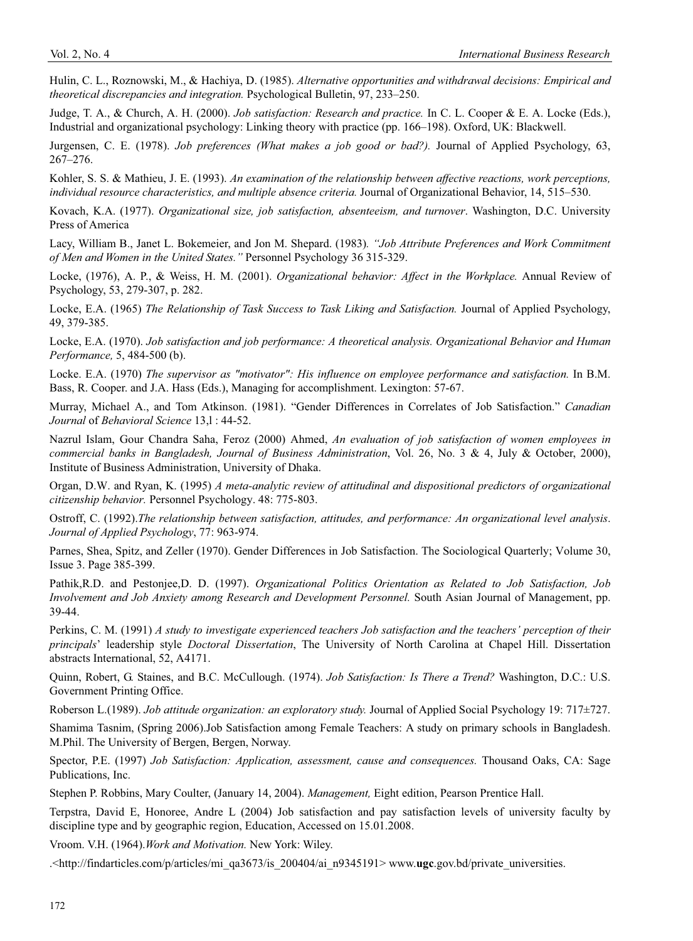Hulin, C. L., Roznowski, M., & Hachiya, D. (1985). *Alternative opportunities and withdrawal decisions: Empirical and theoretical discrepancies and integration.* Psychological Bulletin, 97, 233–250.

Judge, T. A., & Church, A. H. (2000). *Job satisfaction: Research and practice.* In C. L. Cooper & E. A. Locke (Eds.), Industrial and organizational psychology: Linking theory with practice (pp. 166–198). Oxford, UK: Blackwell.

Jurgensen, C. E. (1978). *Job preferences (What makes a job good or bad?).* Journal of Applied Psychology, 63, 267–276.

Kohler, S. S. & Mathieu, J. E. (1993). *An examination of the relationship between affective reactions, work perceptions, individual resource characteristics, and multiple absence criteria.* Journal of Organizational Behavior, 14, 515–530.

Kovach, K.A. (1977). *Organizational size, job satisfaction, absenteeism, and turnover*. Washington, D.C. University Press of America

Lacy, William B., Janet L. Bokemeier, and Jon M. Shepard. (1983)*. "Job Attribute Preferences and Work Commitment of Men and Women in the United States."* Personnel Psychology 36 315-329.

Locke, (1976), A. P., & Weiss, H. M. (2001). *Organizational behavior: Affect in the Workplace.* Annual Review of Psychology, 53, 279-307, p. 282.

Locke, E.A. (1965) *The Relationship of Task Success to Task Liking and Satisfaction.* Journal of Applied Psychology, 49, 379-385.

Locke, E.A. (1970). *Job satisfaction and job performance: A theoretical analysis. Organizational Behavior and Human Performance,* 5, 484-500 (b).

Locke. E.A. (1970) *The supervisor as "motivator": His influence on employee performance and satisfaction.* In B.M. Bass, R. Cooper. and J.A. Hass (Eds.), Managing for accomplishment. Lexington: 57-67.

Murray, Michael A., and Tom Atkinson. (1981). "Gender Differences in Correlates of Job Satisfaction." *Canadian Journal* of *Behavioral Science* 13,l : 44-52.

Nazrul Islam, Gour Chandra Saha, Feroz (2000) Ahmed, *An evaluation of job satisfaction of women employees in commercial banks in Bangladesh, Journal of Business Administration*, Vol. 26, No. 3 & 4, July & October, 2000), Institute of Business Administration, University of Dhaka.

Organ, D.W. and Ryan, K. (1995) *A meta-analytic review of attitudinal and dispositional predictors of organizational citizenship behavior.* Personnel Psychology. 48: 775-803.

Ostroff, C. (1992).*The relationship between satisfaction, attitudes, and performance: An organizational level analysis*. *Journal of Applied Psychology*, 77: 963-974.

Parnes, Shea, Spitz, and Zeller (1970). Gender Differences in Job Satisfaction. The Sociological Quarterly; Volume 30, Issue 3. Page 385-399.

Pathik,R.D. and Pestonjee,D. D. (1997). *Organizational Politics Orientation as Related to Job Satisfaction, Job Involvement and Job Anxiety among Research and Development Personnel.* South Asian Journal of Management, pp. 39-44.

Perkins, C. M. (1991) *A study to investigate experienced teachers Job satisfaction and the teachers' perception of their principals*' leadership style *Doctoral Dissertation*, The University of North Carolina at Chapel Hill. Dissertation abstracts International, 52, A4171.

Quinn, Robert, G. Staines, and B.C. McCullough. (1974). *Job Satisfaction: Is There a Trend?* Washington, D.C.: U.S. Government Printing Office.

Roberson L.(1989). *Job attitude organization: an exploratory study.* Journal of Applied Social Psychology 19: 717±727.

Shamima Tasnim, (Spring 2006).Job Satisfaction among Female Teachers: A study on primary schools in Bangladesh. M.Phil. The University of Bergen, Bergen, Norway.

Spector, P.E. (1997) *Job Satisfaction: Application, assessment, cause and consequences.* Thousand Oaks, CA: Sage Publications, Inc.

Stephen P. Robbins, Mary Coulter, (January 14, 2004). *Management,* Eight edition, Pearson Prentice Hall.

Terpstra, David E, Honoree, Andre L (2004) Job satisfaction and pay satisfaction levels of university faculty by discipline type and by geographic region, Education, Accessed on 15.01.2008.

Vroom. V.H. (1964).*Work and Motivation.* New York: Wiley.

.<http://findarticles.com/p/articles/mi\_qa3673/is\_200404/ai\_n9345191> www.**ugc**.gov.bd/private\_universities.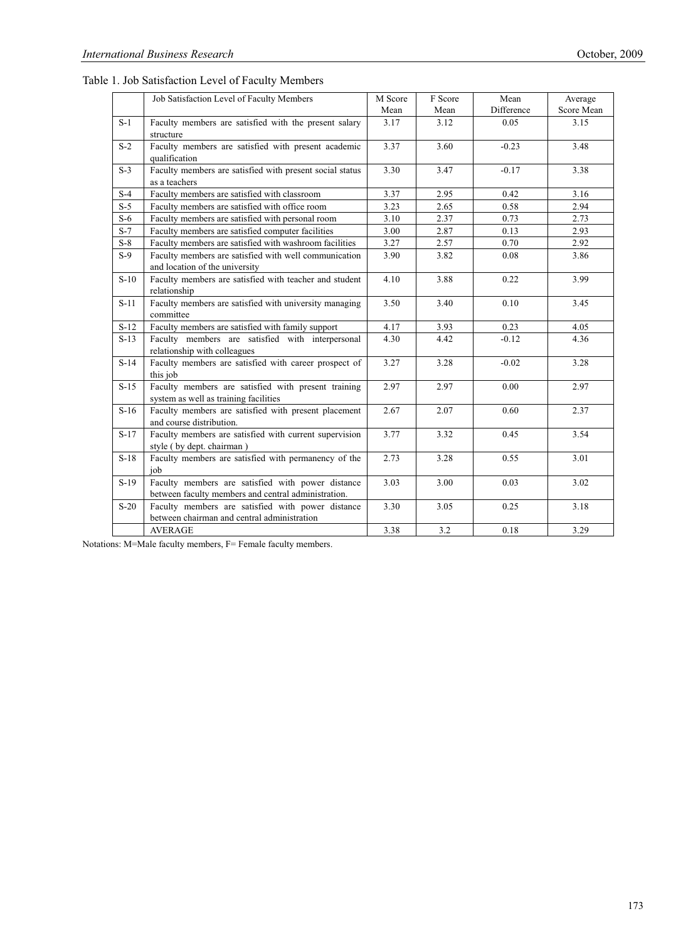|        | Job Satisfaction Level of Faculty Members                                                                | M Score | F Score | Mean       | Average    |
|--------|----------------------------------------------------------------------------------------------------------|---------|---------|------------|------------|
|        |                                                                                                          |         | Mean    | Difference | Score Mean |
| $S-1$  | Faculty members are satisfied with the present salary<br>structure                                       |         | 3.12    | 0.05       | 3.15       |
| $S-2$  | Faculty members are satisfied with present academic<br>qualification                                     | 3.37    | 3.60    | $-0.23$    | 3.48       |
| $S-3$  | Faculty members are satisfied with present social status<br>as a teachers                                | 3.30    | 3.47    | $-0.17$    | 3.38       |
| $S-4$  | Faculty members are satisfied with classroom                                                             | 3.37    | 2.95    | 0.42       | 3.16       |
| $S-5$  | Faculty members are satisfied with office room                                                           | 3.23    | 2.65    | 0.58       | 2.94       |
| $S-6$  | Faculty members are satisfied with personal room                                                         | 3.10    | 2.37    | 0.73       | 2.73       |
| $S-7$  | Faculty members are satisfied computer facilities                                                        | 3.00    | 2.87    | 0.13       | 2.93       |
| $S-8$  | Faculty members are satisfied with washroom facilities                                                   | 3.27    | 2.57    | 0.70       | 2.92       |
| $S-9$  | Faculty members are satisfied with well communication<br>and location of the university                  | 3.90    | 3.82    | 0.08       | 3.86       |
| $S-10$ | Faculty members are satisfied with teacher and student<br>relationship                                   | 4.10    | 3.88    | 0.22       | 3.99       |
| $S-11$ | Faculty members are satisfied with university managing<br>committee                                      | 3.50    | 3.40    | 0.10       | 3.45       |
| $S-12$ | Faculty members are satisfied with family support                                                        | 4.17    | 3.93    | 0.23       | 4.05       |
| $S-13$ | Faculty members are satisfied with interpersonal<br>relationship with colleagues                         | 4.30    | 4.42    | $-0.12$    | 4.36       |
| $S-14$ | Faculty members are satisfied with career prospect of<br>this job                                        | 3.27    | 3.28    | $-0.02$    | 3.28       |
| $S-15$ | Faculty members are satisfied with present training<br>system as well as training facilities             | 2.97    | 2.97    | 0.00       | 2.97       |
| $S-16$ | Faculty members are satisfied with present placement<br>and course distribution.                         | 2.67    | 2.07    | 0.60       | 2.37       |
| $S-17$ | Faculty members are satisfied with current supervision<br>style (by dept. chairman)                      | 3.77    | 3.32    | 0.45       | 3.54       |
| $S-18$ | Faculty members are satisfied with permanency of the<br>job                                              | 2.73    | 3.28    | 0.55       | 3.01       |
| $S-19$ | Faculty members are satisfied with power distance<br>between faculty members and central administration. | 3.03    | 3.00    | 0.03       | 3.02       |
| $S-20$ | Faculty members are satisfied with power distance<br>between chairman and central administration         | 3.30    | 3.05    | 0.25       | 3.18       |
|        | AVERAGE                                                                                                  | 3.38    | 3.2     | 0.18       | 3.29       |

Notations: M=Male faculty members, F= Female faculty members.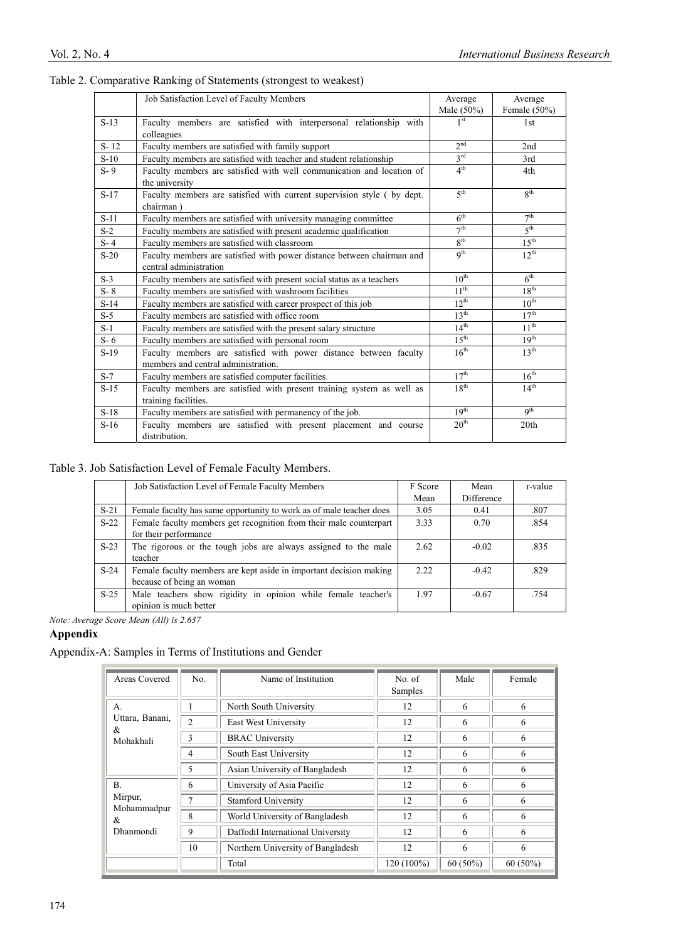|          | Job Satisfaction Level of Faculty Members                                                                | Average          | Average          |
|----------|----------------------------------------------------------------------------------------------------------|------------------|------------------|
|          |                                                                                                          | Male $(50\%)$    | Female $(50\%)$  |
| $S-13$   | Faculty members are satisfied with interpersonal relationship with<br>colleagues                         | 1 <sup>st</sup>  | 1st              |
| $S - 12$ | Faculty members are satisfied with family support                                                        | 2 <sup>nd</sup>  | 2nd              |
| $S-10$   | Faculty members are satisfied with teacher and student relationship                                      | $3^{\text{rd}}$  | 3rd              |
| $S-9$    | Faculty members are satisfied with well communication and location of<br>the university                  | 4 <sup>th</sup>  | 4th              |
| $S-17$   | Faculty members are satisfied with current supervision style ( by dept.<br>chairman)                     | 5 <sup>th</sup>  | 8 <sup>th</sup>  |
| $S-11$   | Faculty members are satisfied with university managing committee                                         | 6 <sup>th</sup>  | 7 <sup>th</sup>  |
| $S-2$    | Faculty members are satisfied with present academic qualification                                        | 7 <sup>th</sup>  | 5 <sup>th</sup>  |
| $S-4$    | Faculty members are satisfied with classroom                                                             | 8 <sup>th</sup>  | $15^{th}$        |
| $S-20$   | Faculty members are satisfied with power distance between chairman and                                   | q <sup>th</sup>  | $12^{th}$        |
|          | central administration                                                                                   |                  |                  |
| $S-3$    | Faculty members are satisfied with present social status as a teachers                                   | $10^{\text{th}}$ | $6^{\text{th}}$  |
| $S-8$    | Faculty members are satisfied with washroom facilities                                                   | $11^{th}$        | $18^{\text{th}}$ |
| $S-14$   | Faculty members are satisfied with career prospect of this job                                           | $12^{th}$        | $10^{\text{th}}$ |
| $S-5$    | Faculty members are satisfied with office room                                                           | $13^{\text{th}}$ | 17 <sup>th</sup> |
| $S-1$    | Faculty members are satisfied with the present salary structure                                          | 14 <sup>th</sup> | 11 <sup>th</sup> |
| $S-6$    | Faculty members are satisfied with personal room                                                         | 15 <sup>th</sup> | 19 <sup>th</sup> |
| $S-19$   | Faculty members are satisfied with power distance between faculty<br>members and central administration. | $16^{\text{th}}$ | $13^{\text{th}}$ |
| $S-7$    | Faculty members are satisfied computer facilities.                                                       | 17 <sup>th</sup> | $16^{\text{th}}$ |
| $S-15$   | Faculty members are satisfied with present training system as well as<br>training facilities.            | $18^{\text{th}}$ | 14 <sup>th</sup> |
| $S-18$   | Faculty members are satisfied with permanency of the job.                                                | 19 <sup>th</sup> | Q <sup>th</sup>  |
| $S-16$   | Faculty members are satisfied with present placement and course<br>distribution.                         | 20 <sup>th</sup> | 20th             |

|  | Table 2. Comparative Ranking of Statements (strongest to weakest) |  |
|--|-------------------------------------------------------------------|--|
|  |                                                                   |  |

# Table 3. Job Satisfaction Level of Female Faculty Members.

|        | Job Satisfaction Level of Female Faculty Members                    | F Score | Mean       | r-value |
|--------|---------------------------------------------------------------------|---------|------------|---------|
|        |                                                                     | Mean    | Difference |         |
| $S-21$ | Female faculty has same opportunity to work as of male teacher does | 3.05    | 0.41       | .807    |
| $S-22$ | Female faculty members get recognition from their male counterpart  | 3.33    | 0.70       | .854    |
|        | for their performance                                               |         |            |         |
| $S-23$ | The rigorous or the tough jobs are always assigned to the male      | 2.62    | $-0.02$    | .835    |
|        | teacher                                                             |         |            |         |
| $S-24$ | Female faculty members are kept aside in important decision making  | 2.22    | $-0.42$    | .829    |
|        | because of being an woman                                           |         |            |         |
| $S-25$ | Male teachers show rigidity in opinion while female teacher's       | 1.97    | $-0.67$    | .754    |
|        | opinion is much better                                              |         |            |         |

*Note: Average Score Mean (All) is 2.637*

## **Appendix**

# Appendix-A: Samples in Terms of Institutions and Gender

| Areas Covered          | No.            | Name of Institution               | No. of<br>Samples | Male       | Female     |
|------------------------|----------------|-----------------------------------|-------------------|------------|------------|
| A.                     |                | North South University            | 12                | 6          | 6          |
| Uttara, Banani,<br>&   | $\overline{c}$ | East West University              | 12                | 6          | 6          |
| Mohakhali              | 3              | <b>BRAC University</b>            | 12                | 6          | 6          |
|                        | $\overline{4}$ | South East University             | 12                | 6          | 6          |
|                        | 5              | Asian University of Bangladesh    | 12                | 6          | 6          |
| B.                     | 6              | University of Asia Pacific        | 12                | 6          | 6          |
| Mirpur,<br>Mohammadpur |                | <b>Stamford University</b>        | 12                | 6          | 6          |
| &<br>Dhanmondi         | 8              | World University of Bangladesh    | 12                | 6          | 6          |
|                        | 9              | Daffodil International University | 12                | 6          | 6          |
|                        | 10             | Northern University of Bangladesh | 12                | 6          | 6          |
|                        |                | Total                             | 120 (100%)        | $60(50\%)$ | $60(50\%)$ |